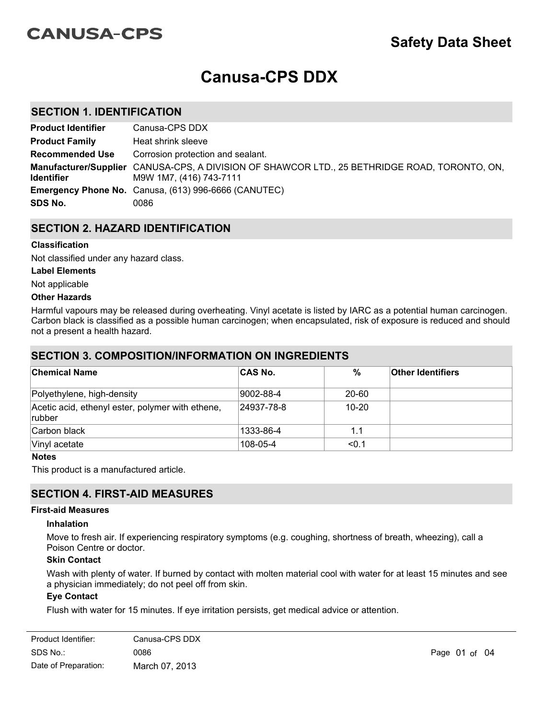# **CANUSA-CPS**

# **Safety Data Sheet**

# **Canusa-CPS DDX**

# **SECTION 1. IDENTIFICATION**

| <b>Product Identifier</b> | Canusa-CPS DDX                                                                                                           |
|---------------------------|--------------------------------------------------------------------------------------------------------------------------|
| <b>Product Family</b>     | Heat shrink sleeve                                                                                                       |
| <b>Recommended Use</b>    | Corrosion protection and sealant.                                                                                        |
| <b>Identifier</b>         | Manufacturer/Supplier CANUSA-CPS, A DIVISION OF SHAWCOR LTD., 25 BETHRIDGE ROAD, TORONTO, ON,<br>M9W 1M7, (416) 743-7111 |
|                           | <b>Emergency Phone No.</b> Canusa, (613) 996-6666 (CANUTEC)                                                              |
| SDS No.                   | 0086                                                                                                                     |

# **SECTION 2. HAZARD IDENTIFICATION**

#### **Classification**

Not classified under any hazard class.

#### **Label Elements**

Not applicable

#### **Other Hazards**

Harmful vapours may be released during overheating. Vinyl acetate is listed by IARC as a potential human carcinogen. Carbon black is classified as a possible human carcinogen; when encapsulated, risk of exposure is reduced and should not a present a health hazard.

## **SECTION 3. COMPOSITION/INFORMATION ON INGREDIENTS**

| <b>Chemical Name</b>                                        | <b>CAS No.</b> | $\%$      | <b>Other Identifiers</b> |
|-------------------------------------------------------------|----------------|-----------|--------------------------|
| Polyethylene, high-density                                  | 9002-88-4      | 20-60     |                          |
| Acetic acid, ethenyl ester, polymer with ethene,<br> rubber | 24937-78-8     | $10 - 20$ |                          |
| Carbon black                                                | 1333-86-4      | 1.1       |                          |
| Vinyl acetate                                               | 108-05-4       | < 0.1     |                          |

#### **Notes**

This product is a manufactured article.

## **SECTION 4. FIRST-AID MEASURES**

#### **First-aid Measures**

#### **Inhalation**

Move to fresh air. If experiencing respiratory symptoms (e.g. coughing, shortness of breath, wheezing), call a Poison Centre or doctor.

#### **Skin Contact**

Wash with plenty of water. If burned by contact with molten material cool with water for at least 15 minutes and see a physician immediately; do not peel off from skin.

#### **Eye Contact**

Flush with water for 15 minutes. If eye irritation persists, get medical advice or attention.

| Product Identifier:  | Canusa-CPS DDX |
|----------------------|----------------|
| SDS No.:             | 0086           |
| Date of Preparation: | March 07, 2013 |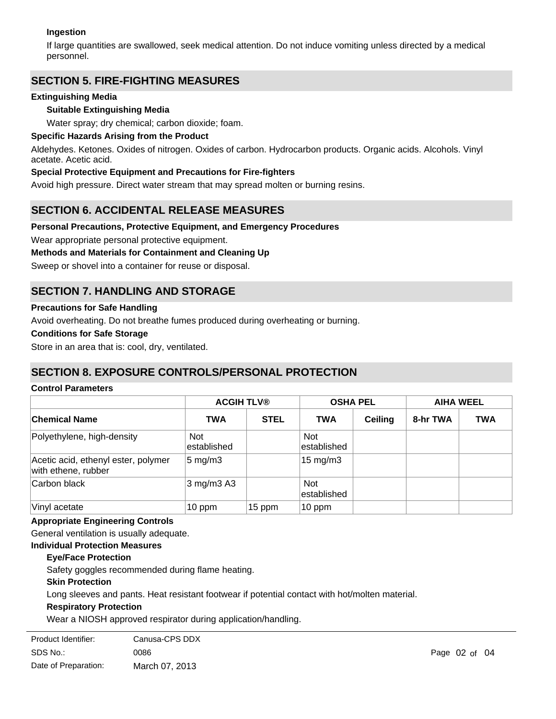#### **Ingestion**

If large quantities are swallowed, seek medical attention. Do not induce vomiting unless directed by a medical personnel.

## **SECTION 5. FIRE-FIGHTING MEASURES**

#### **Extinguishing Media**

#### **Suitable Extinguishing Media**

Water spray; dry chemical; carbon dioxide; foam.

#### **Specific Hazards Arising from the Product**

Aldehydes. Ketones. Oxides of nitrogen. Oxides of carbon. Hydrocarbon products. Organic acids. Alcohols. Vinyl acetate. Acetic acid.

#### **Special Protective Equipment and Precautions for Fire-fighters**

Avoid high pressure. Direct water stream that may spread molten or burning resins.

### **SECTION 6. ACCIDENTAL RELEASE MEASURES**

#### **Personal Precautions, Protective Equipment, and Emergency Procedures**

Wear appropriate personal protective equipment.

#### **Methods and Materials for Containment and Cleaning Up**

Sweep or shovel into a container for reuse or disposal.

## **SECTION 7. HANDLING AND STORAGE**

#### **Precautions for Safe Handling**

Avoid overheating. Do not breathe fumes produced during overheating or burning.

#### **Conditions for Safe Storage**

Store in an area that is: cool, dry, ventilated.

# **SECTION 8. EXPOSURE CONTROLS/PERSONAL PROTECTION**

#### **Control Parameters**

|                                                            |                           | <b>ACGIH TLV®</b> | <b>OSHA PEL</b>           |                | <b>AIHA WEEL</b> |            |
|------------------------------------------------------------|---------------------------|-------------------|---------------------------|----------------|------------------|------------|
| <b>Chemical Name</b>                                       | <b>TWA</b>                | <b>STEL</b>       | <b>TWA</b>                | <b>Ceiling</b> | 8-hr TWA         | <b>TWA</b> |
| Polyethylene, high-density                                 | <b>Not</b><br>established |                   | <b>Not</b><br>established |                |                  |            |
| Acetic acid, ethenyl ester, polymer<br>with ethene, rubber | $5 \text{ mg/m}$ 3        |                   | $15 \text{ mg/m}$ 3       |                |                  |            |
| Carbon black                                               | $3 \text{ mg/m}$ 3 A3     |                   | <b>Not</b><br>established |                |                  |            |
| Vinyl acetate                                              | $10$ ppm                  | 15 ppm            | $10$ ppm                  |                |                  |            |

#### **Appropriate Engineering Controls**

General ventilation is usually adequate.

#### **Individual Protection Measures**

#### **Eye/Face Protection**

Safety goggles recommended during flame heating.

#### **Skin Protection**

Long sleeves and pants. Heat resistant footwear if potential contact with hot/molten material.

#### **Respiratory Protection**

Wear a NIOSH approved respirator during application/handling.

| Product Identifier:  | Canusa-CPS DDX |
|----------------------|----------------|
| SDS No.:             | 0086           |
| Date of Preparation: | March 07, 2013 |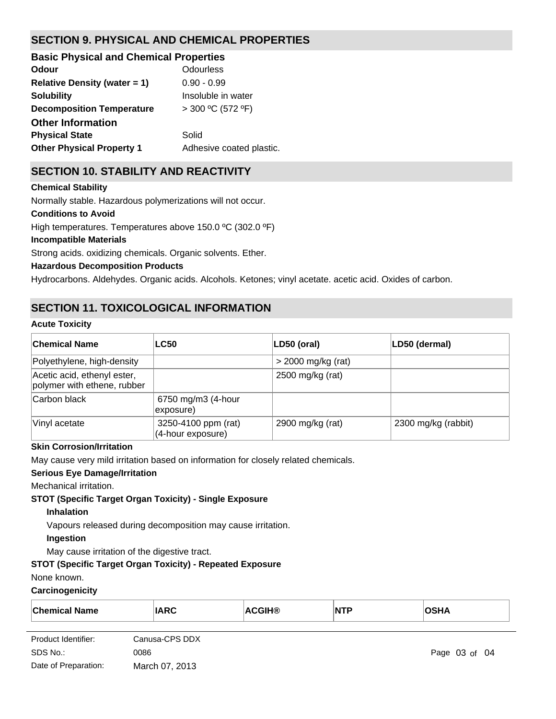# **SECTION 9. PHYSICAL AND CHEMICAL PROPERTIES**

| <b>Basic Physical and Chemical Properties</b> |                          |
|-----------------------------------------------|--------------------------|
| Odour                                         | Odourless                |
| <b>Relative Density (water = 1)</b>           | $0.90 - 0.99$            |
| <b>Solubility</b>                             | Insoluble in water       |
| <b>Decomposition Temperature</b>              | $>$ 300 °C (572 °F)      |
| <b>Other Information</b>                      |                          |
| <b>Physical State</b>                         | Solid                    |
| <b>Other Physical Property 1</b>              | Adhesive coated plastic. |
|                                               |                          |

# **SECTION 10. STABILITY AND REACTIVITY**

#### **Chemical Stability**

Normally stable. Hazardous polymerizations will not occur.

#### **Conditions to Avoid**

High temperatures. Temperatures above 150.0 ºC (302.0 ºF)

#### **Incompatible Materials**

Strong acids. oxidizing chemicals. Organic solvents. Ether.

#### **Hazardous Decomposition Products**

Hydrocarbons. Aldehydes. Organic acids. Alcohols. Ketones; vinyl acetate. acetic acid. Oxides of carbon.

# **SECTION 11. TOXICOLOGICAL INFORMATION**

#### **Acute Toxicity**

| ∣Chemical Name                                             | <b>LC50</b>                              | LD50 (oral)          | LD50 (dermal)       |
|------------------------------------------------------------|------------------------------------------|----------------------|---------------------|
| Polyethylene, high-density                                 |                                          | $>$ 2000 mg/kg (rat) |                     |
| Acetic acid, ethenyl ester,<br>polymer with ethene, rubber |                                          | 2500 mg/kg (rat)     |                     |
| Carbon black                                               | 6750 mg/m3 (4-hour<br>exposure)          |                      |                     |
| Vinyl acetate                                              | 3250-4100 ppm (rat)<br>(4-hour exposure) | 2900 mg/kg (rat)     | 2300 mg/kg (rabbit) |

# **Skin Corrosion/Irritation**

May cause very mild irritation based on information for closely related chemicals.

#### **Serious Eye Damage/Irritation**

Mechanical irritation.

#### **STOT (Specific Target Organ Toxicity) - Single Exposure**

#### **Inhalation**

Vapours released during decomposition may cause irritation.

#### **Ingestion**

May cause irritation of the digestive tract.

#### **STOT (Specific Target Organ Toxicity) - Repeated Exposure**

#### None known.

#### **Carcinogenicity**

| <b>Chemical Name</b> | IARC | CGIH®<br>$\mathbf{v}$ | $\overline{\mathsf{NTP}}$ | ገSHA |  |
|----------------------|------|-----------------------|---------------------------|------|--|
|                      |      |                       |                           |      |  |

| Product Identifier:  | Canusa-CPS DDX |                   |  |
|----------------------|----------------|-------------------|--|
| SDS No.:             | 0086           | Page $03$ of $04$ |  |
| Date of Preparation: | March 07, 2013 |                   |  |